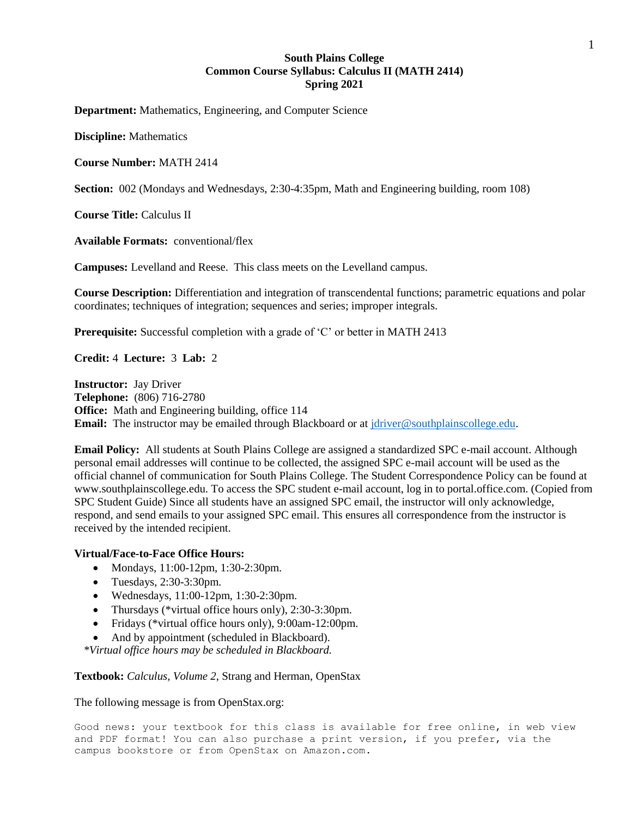# **South Plains College Common Course Syllabus: Calculus II (MATH 2414) Spring 2021**

**Department:** Mathematics, Engineering, and Computer Science

**Discipline:** Mathematics

**Course Number:** MATH 2414

**Section:** 002 (Mondays and Wednesdays, 2:30-4:35pm, Math and Engineering building, room 108)

**Course Title:** Calculus II

**Available Formats:** conventional/flex

**Campuses:** Levelland and Reese. This class meets on the Levelland campus.

**Course Description:** Differentiation and integration of transcendental functions; parametric equations and polar coordinates; techniques of integration; sequences and series; improper integrals.

**Prerequisite:** Successful completion with a grade of 'C' or better in MATH 2413

**Credit:** 4 **Lecture:** 3 **Lab:** 2

**Instructor:** Jay Driver **Telephone:** (806) 716-2780 **Office:** Math and Engineering building, office 114 **Email:** The instructor may be emailed through Blackboard or at [jdriver@southplainscollege.edu.](mailto:jdriver@southplainscollege.edu)

**Email Policy:** All students at South Plains College are assigned a standardized SPC e-mail account. Although personal email addresses will continue to be collected, the assigned SPC e-mail account will be used as the official channel of communication for South Plains College. The Student Correspondence Policy can be found at www.southplainscollege.edu. To access the SPC student e-mail account, log in to portal.office.com. (Copied from SPC Student Guide) Since all students have an assigned SPC email, the instructor will only acknowledge, respond, and send emails to your assigned SPC email. This ensures all correspondence from the instructor is received by the intended recipient.

## **Virtual/Face-to-Face Office Hours:**

- Mondays, 11:00-12pm, 1:30-2:30pm.
- Tuesdays, 2:30-3:30pm.
- Wednesdays, 11:00-12pm, 1:30-2:30pm.
- Thursdays (\*virtual office hours only), 2:30-3:30pm.
- Fridays (\*virtual office hours only), 9:00am-12:00pm.
- And by appointment (scheduled in Blackboard).

*\*Virtual office hours may be scheduled in Blackboard.*

**Textbook:** *Calculus, Volume 2*, Strang and Herman, OpenStax

The following message is from OpenStax.org:

Good news: your textbook for this class is available for free online, in web view and PDF format! You can also purchase a print version, if you prefer, via the campus bookstore or from OpenStax on Amazon.com.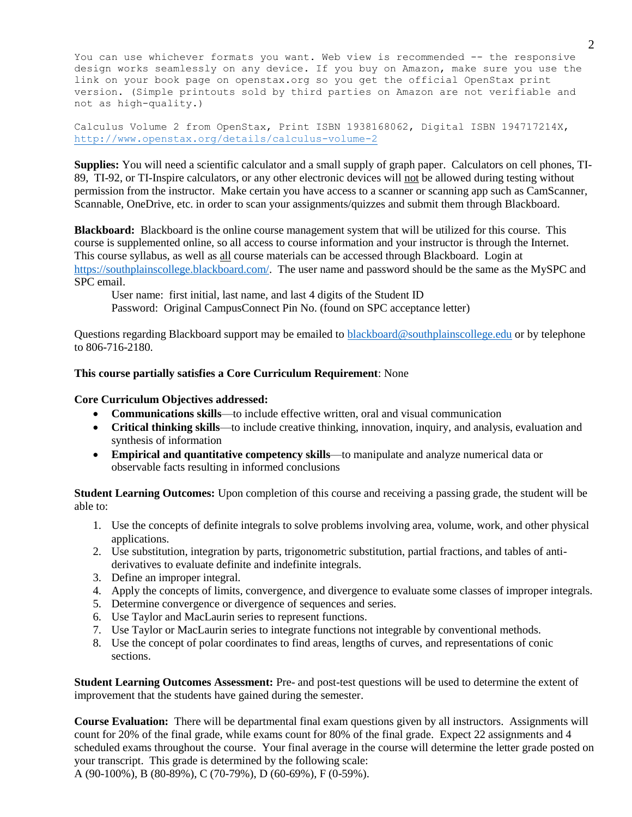You can use whichever formats you want. Web view is recommended -- the responsive design works seamlessly on any device. If you buy on Amazon, make sure you use the link on your book page on openstax.org so you get the official OpenStax print version. (Simple printouts sold by third parties on Amazon are not verifiable and not as high-quality.)

Calculus Volume 2 from OpenStax, Print ISBN 1938168062, Digital ISBN 194717214X, <http://www.openstax.org/details/calculus-volume-2>

**Supplies:** You will need a scientific calculator and a small supply of graph paper. Calculators on cell phones, TI-89, TI-92, or TI-Inspire calculators, or any other electronic devices will not be allowed during testing without permission from the instructor. Make certain you have access to a scanner or scanning app such as CamScanner, Scannable, OneDrive, etc. in order to scan your assignments/quizzes and submit them through Blackboard.

**Blackboard:** Blackboard is the online course management system that will be utilized for this course. This course is supplemented online, so all access to course information and your instructor is through the Internet. This course syllabus, as well as all course materials can be accessed through Blackboard. Login at [https://southplainscollege.blackboard.com/.](https://southplainscollege.blackboard.com/) The user name and password should be the same as the MySPC and SPC email.

User name: first initial, last name, and last 4 digits of the Student ID Password: Original CampusConnect Pin No. (found on SPC acceptance letter)

Questions regarding Blackboard support may be emailed to **blackboard@southplainscollege.edu** or by telephone to 806-716-2180.

### **This course partially satisfies a Core Curriculum Requirement**: None

#### **Core Curriculum Objectives addressed:**

- **Communications skills**—to include effective written, oral and visual communication
- **Critical thinking skills**—to include creative thinking, innovation, inquiry, and analysis, evaluation and synthesis of information
- **Empirical and quantitative competency skills**—to manipulate and analyze numerical data or observable facts resulting in informed conclusions

**Student Learning Outcomes:** Upon completion of this course and receiving a passing grade, the student will be able to:

- 1. Use the concepts of definite integrals to solve problems involving area, volume, work, and other physical applications.
- 2. Use substitution, integration by parts, trigonometric substitution, partial fractions, and tables of antiderivatives to evaluate definite and indefinite integrals.
- 3. Define an improper integral.
- 4. Apply the concepts of limits, convergence, and divergence to evaluate some classes of improper integrals.
- 5. Determine convergence or divergence of sequences and series.
- 6. Use Taylor and MacLaurin series to represent functions.
- 7. Use Taylor or MacLaurin series to integrate functions not integrable by conventional methods.
- 8. Use the concept of polar coordinates to find areas, lengths of curves, and representations of conic sections.

**Student Learning Outcomes Assessment:** Pre- and post-test questions will be used to determine the extent of improvement that the students have gained during the semester.

**Course Evaluation:** There will be departmental final exam questions given by all instructors. Assignments will count for 20% of the final grade, while exams count for 80% of the final grade. Expect 22 assignments and 4 scheduled exams throughout the course. Your final average in the course will determine the letter grade posted on your transcript. This grade is determined by the following scale:

A (90-100%), B (80-89%), C (70-79%), D (60-69%), F (0-59%).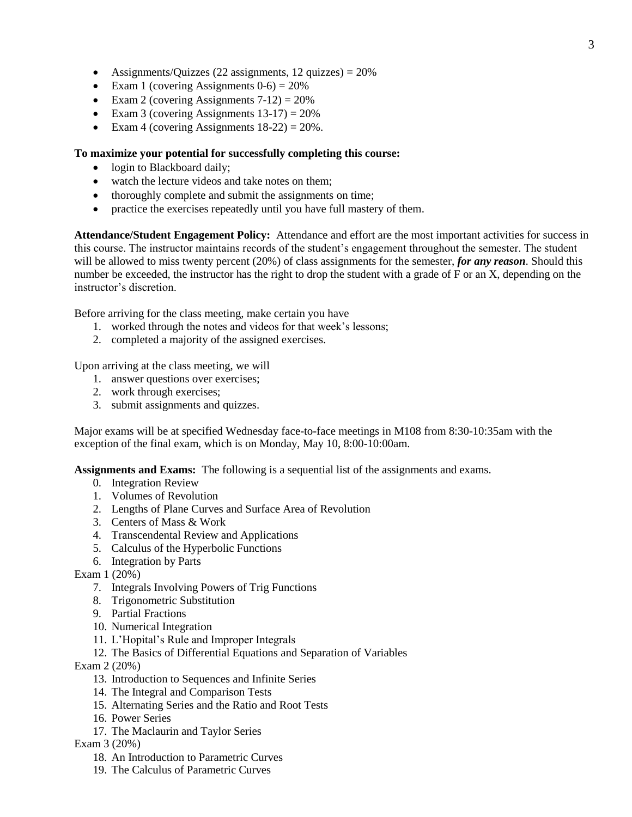- Assignments/Quizzes (22 assignments, 12 quizzes)  $= 20\%$
- Exam 1 (covering Assignments  $0-6$ ) = 20%
- Exam 2 (covering Assignments  $7-12$ ) =  $20\%$
- Exam 3 (covering Assignments  $13-17$ ) = 20%
- Exam 4 (covering Assignments  $18-22$ ) =  $20\%$ .

## **To maximize your potential for successfully completing this course:**

- login to Blackboard daily;
- watch the lecture videos and take notes on them;
- thoroughly complete and submit the assignments on time;
- practice the exercises repeatedly until you have full mastery of them.

**Attendance/Student Engagement Policy:** Attendance and effort are the most important activities for success in this course. The instructor maintains records of the student's engagement throughout the semester. The student will be allowed to miss twenty percent (20%) of class assignments for the semester, *for any reason*. Should this number be exceeded, the instructor has the right to drop the student with a grade of F or an X, depending on the instructor's discretion.

Before arriving for the class meeting, make certain you have

- 1. worked through the notes and videos for that week's lessons;
- 2. completed a majority of the assigned exercises.

Upon arriving at the class meeting, we will

- 1. answer questions over exercises;
- 2. work through exercises;
- 3. submit assignments and quizzes.

Major exams will be at specified Wednesday face-to-face meetings in M108 from 8:30-10:35am with the exception of the final exam, which is on Monday, May 10, 8:00-10:00am.

**Assignments and Exams:** The following is a sequential list of the assignments and exams.

- 0. Integration Review
- 1. Volumes of Revolution
- 2. Lengths of Plane Curves and Surface Area of Revolution
- 3. Centers of Mass & Work
- 4. Transcendental Review and Applications
- 5. Calculus of the Hyperbolic Functions
- 6. Integration by Parts

Exam 1 (20%)

- 7. Integrals Involving Powers of Trig Functions
- 8. Trigonometric Substitution
- 9. Partial Fractions
- 10. Numerical Integration
- 11. L'Hopital's Rule and Improper Integrals
- 12. The Basics of Differential Equations and Separation of Variables

Exam 2 (20%)

- 13. Introduction to Sequences and Infinite Series
- 14. The Integral and Comparison Tests
- 15. Alternating Series and the Ratio and Root Tests
- 16. Power Series
- 17. The Maclaurin and Taylor Series

Exam 3 (20%)

- 18. An Introduction to Parametric Curves
- 19. The Calculus of Parametric Curves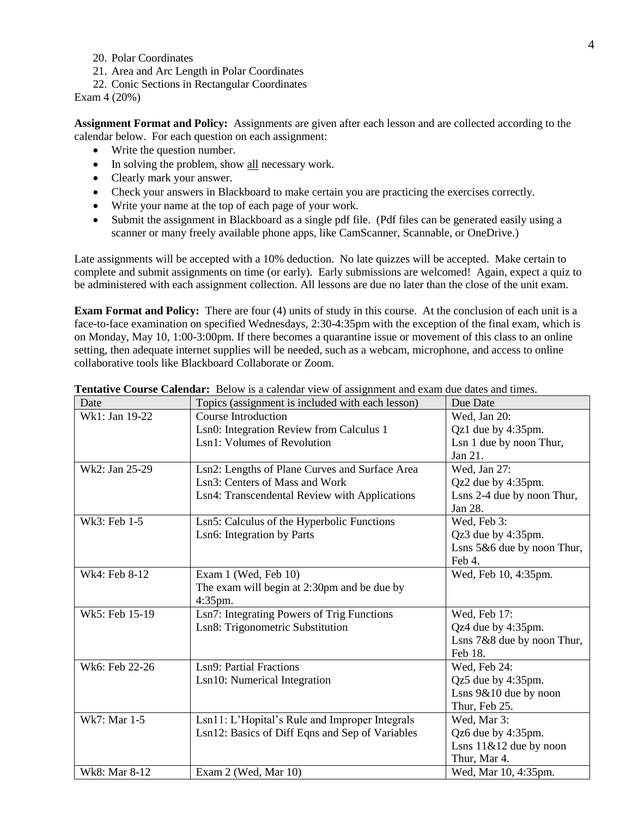- 20. Polar Coordinates
- 21. Area and Arc Length in Polar Coordinates
- 22. Conic Sections in Rectangular Coordinates

Exam 4 (20%)

**Assignment Format and Policy:** Assignments are given after each lesson and are collected according to the calendar below. For each question on each assignment:

- Write the question number.
- In solving the problem, show all necessary work.
- Clearly mark your answer.
- Check your answers in Blackboard to make certain you are practicing the exercises correctly.
- Write your name at the top of each page of your work.
- Submit the assignment in Blackboard as a single pdf file. (Pdf files can be generated easily using a scanner or many freely available phone apps, like CamScanner, Scannable, or OneDrive.)

Late assignments will be accepted with a 10% deduction. No late quizzes will be accepted. Make certain to complete and submit assignments on time (or early). Early submissions are welcomed! Again, expect a quiz to be administered with each assignment collection. All lessons are due no later than the close of the unit exam.

**Exam Format and Policy:** There are four (4) units of study in this course. At the conclusion of each unit is a face-to-face examination on specified Wednesdays, 2:30-4:35pm with the exception of the final exam, which is on Monday, May 10, 1:00-3:00pm. If there becomes a quarantine issue or movement of this class to an online setting, then adequate internet supplies will be needed, such as a webcam, microphone, and access to online collaborative tools like Blackboard Collaborate or Zoom.

| Date           | Topics (assignment is included with each lesson) | Due Date                    |
|----------------|--------------------------------------------------|-----------------------------|
| Wk1: Jan 19-22 | <b>Course Introduction</b>                       | Wed, Jan 20:                |
|                | Lsn0: Integration Review from Calculus 1         | Qz1 due by 4:35pm.          |
|                | Lsn1: Volumes of Revolution                      | Lsn 1 due by noon Thur,     |
|                |                                                  | Jan 21.                     |
| Wk2: Jan 25-29 | Lsn2: Lengths of Plane Curves and Surface Area   | Wed, Jan 27:                |
|                | Lsn3: Centers of Mass and Work                   | Qz2 due by 4:35pm.          |
|                | Lsn4: Transcendental Review with Applications    | Lsns 2-4 due by noon Thur,  |
|                |                                                  | Jan 28.                     |
| Wk3: Feb 1-5   | Lsn5: Calculus of the Hyperbolic Functions       | Wed, Feb 3:                 |
|                | Lsn6: Integration by Parts                       | Qz3 due by 4:35pm.          |
|                |                                                  | Lsns 5&6 due by noon Thur,  |
|                |                                                  | Feb 4.                      |
| Wk4: Feb 8-12  | Exam 1 (Wed, Feb 10)                             | Wed, Feb 10, 4:35pm.        |
|                | The exam will begin at 2:30pm and be due by      |                             |
|                | 4:35pm.                                          |                             |
| Wk5: Feb 15-19 | Lsn7: Integrating Powers of Trig Functions       | Wed, Feb 17:                |
|                | Lsn8: Trigonometric Substitution                 | Qz4 due by 4:35pm.          |
|                |                                                  | Lsns 7&8 due by noon Thur,  |
|                |                                                  | Feb 18.                     |
| Wk6: Feb 22-26 | Lsn9: Partial Fractions                          | Wed, Feb 24:                |
|                | Lsn10: Numerical Integration                     | Qz5 due by 4:35pm.          |
|                |                                                  | Lsns 9&10 due by noon       |
|                |                                                  | Thur, Feb 25.               |
| Wk7: Mar 1-5   | Lsn11: L'Hopital's Rule and Improper Integrals   | Wed, Mar 3:                 |
|                | Lsn12: Basics of Diff Eqns and Sep of Variables  | Qz6 due by 4:35pm.          |
|                |                                                  | Lsns $11 \& 12$ due by noon |
|                |                                                  | Thur, Mar 4.                |
| Wk8: Mar 8-12  | Exam 2 (Wed, Mar 10)                             | Wed, Mar 10, 4:35pm.        |

**Tentative Course Calendar:** Below is a calendar view of assignment and exam due dates and times.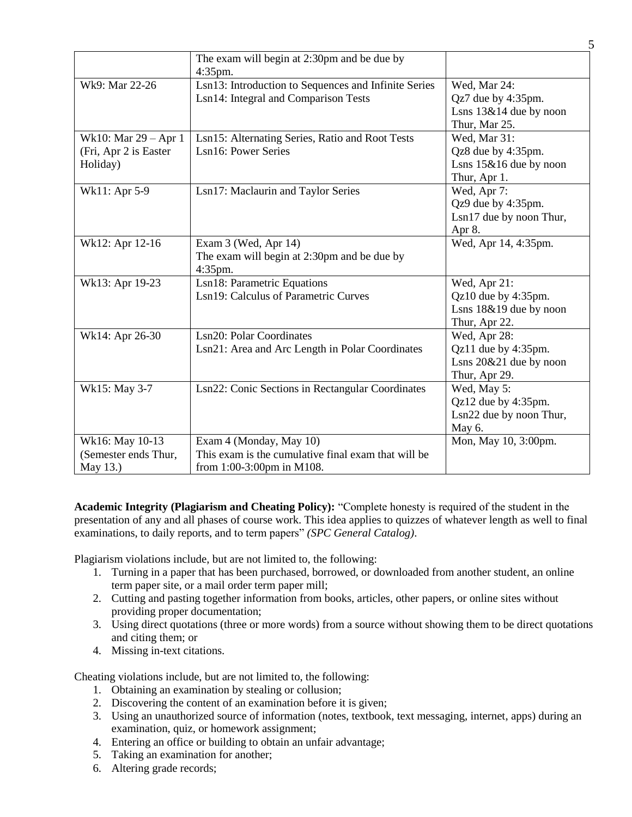|                       | The exam will begin at 2:30pm and be due by          |                           |
|-----------------------|------------------------------------------------------|---------------------------|
|                       | $4:35$ pm.                                           |                           |
| Wk9: Mar 22-26        | Lsn13: Introduction to Sequences and Infinite Series | Wed, Mar 24:              |
|                       | Lsn14: Integral and Comparison Tests                 | Qz7 due by 4:35pm.        |
|                       |                                                      | Lsns $13\&14$ due by noon |
|                       |                                                      | Thur, Mar 25.             |
| Wk10: Mar 29 - Apr 1  | Lsn15: Alternating Series, Ratio and Root Tests      | Wed, Mar 31:              |
| (Fri, Apr 2 is Easter | Lsn16: Power Series                                  | Qz8 due by 4:35pm.        |
| Holiday)              |                                                      | Lsns $15\&16$ due by noon |
|                       |                                                      | Thur, Apr 1.              |
| Wk11: Apr 5-9         | Lsn17: Maclaurin and Taylor Series                   | Wed, Apr 7:               |
|                       |                                                      | Qz9 due by 4:35pm.        |
|                       |                                                      | Lsn17 due by noon Thur,   |
|                       |                                                      | Apr 8.                    |
| Wk12: Apr 12-16       | Exam 3 (Wed, Apr 14)                                 | Wed, Apr 14, 4:35pm.      |
|                       | The exam will begin at 2:30pm and be due by          |                           |
|                       | 4:35pm.                                              |                           |
| Wk13: Apr 19-23       | Lsn18: Parametric Equations                          | Wed, Apr 21:              |
|                       | Lsn19: Calculus of Parametric Curves                 | Qz10 due by 4:35pm.       |
|                       |                                                      | Lsns 18&19 due by noon    |
|                       |                                                      | Thur, Apr 22.             |
| Wk14: Apr 26-30       | Lsn20: Polar Coordinates                             | Wed, Apr 28:              |
|                       | Lsn21: Area and Arc Length in Polar Coordinates      | Qz11 due by 4:35pm.       |
|                       |                                                      | Lsns 20&21 due by noon    |
|                       |                                                      | Thur, Apr 29.             |
| Wk15: May 3-7         | Lsn22: Conic Sections in Rectangular Coordinates     | Wed, May 5:               |
|                       |                                                      | Qz12 due by 4:35pm.       |
|                       |                                                      | Lsn22 due by noon Thur,   |
|                       |                                                      | May 6.                    |
| Wk16: May 10-13       | Exam 4 (Monday, May 10)                              | Mon, May 10, 3:00pm.      |
| (Semester ends Thur,  | This exam is the cumulative final exam that will be  |                           |
| May 13.)              | from 1:00-3:00pm in M108.                            |                           |

**Academic Integrity (Plagiarism and Cheating Policy):** "Complete honesty is required of the student in the presentation of any and all phases of course work. This idea applies to quizzes of whatever length as well to final examinations, to daily reports, and to term papers" *(SPC General Catalog)*.

Plagiarism violations include, but are not limited to, the following:

- 1. Turning in a paper that has been purchased, borrowed, or downloaded from another student, an online term paper site, or a mail order term paper mill;
- 2. Cutting and pasting together information from books, articles, other papers, or online sites without providing proper documentation;
- 3. Using direct quotations (three or more words) from a source without showing them to be direct quotations and citing them; or
- 4. Missing in-text citations.

Cheating violations include, but are not limited to, the following:

- 1. Obtaining an examination by stealing or collusion;
- 2. Discovering the content of an examination before it is given;
- 3. Using an unauthorized source of information (notes, textbook, text messaging, internet, apps) during an examination, quiz, or homework assignment;
- 4. Entering an office or building to obtain an unfair advantage;
- 5. Taking an examination for another;
- 6. Altering grade records;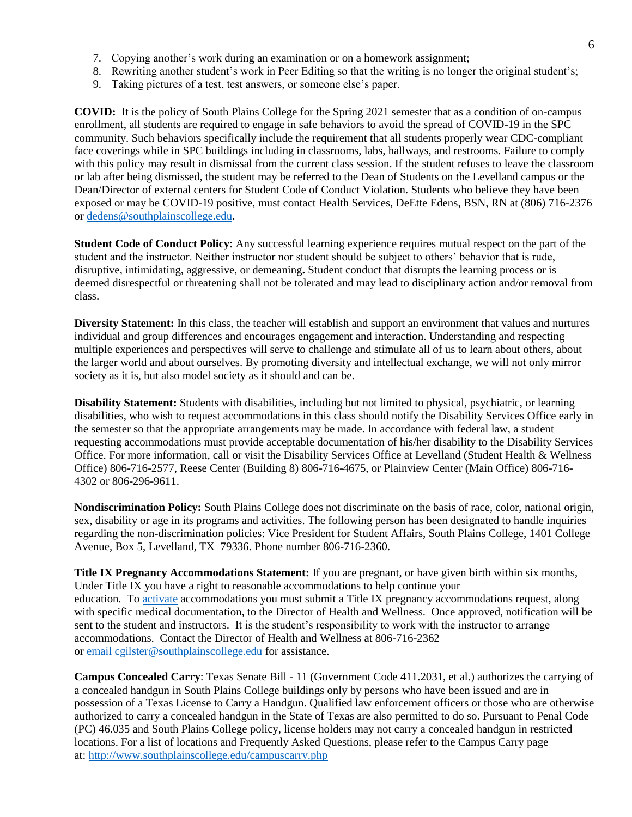- 7. Copying another's work during an examination or on a homework assignment;
- 8. Rewriting another student's work in Peer Editing so that the writing is no longer the original student's;
- 9. Taking pictures of a test, test answers, or someone else's paper.

**COVID:** It is the policy of South Plains College for the Spring 2021 semester that as a condition of on-campus enrollment, all students are required to engage in safe behaviors to avoid the spread of COVID-19 in the SPC community. Such behaviors specifically include the requirement that all students properly wear CDC-compliant face coverings while in SPC buildings including in classrooms, labs, hallways, and restrooms. Failure to comply with this policy may result in dismissal from the current class session. If the student refuses to leave the classroom or lab after being dismissed, the student may be referred to the Dean of Students on the Levelland campus or the Dean/Director of external centers for Student Code of Conduct Violation. Students who believe they have been exposed or may be COVID-19 positive, must contact Health Services, DeEtte Edens, BSN, RN at (806) 716-2376 or [dedens@southplainscollege.edu.](mailto:dedens@southplainscollege.edu)

**Student Code of Conduct Policy**: Any successful learning experience requires mutual respect on the part of the student and the instructor. Neither instructor nor student should be subject to others' behavior that is rude, disruptive, intimidating, aggressive, or demeaning**.** Student conduct that disrupts the learning process or is deemed disrespectful or threatening shall not be tolerated and may lead to disciplinary action and/or removal from class.

**Diversity Statement:** In this class, the teacher will establish and support an environment that values and nurtures individual and group differences and encourages engagement and interaction. Understanding and respecting multiple experiences and perspectives will serve to challenge and stimulate all of us to learn about others, about the larger world and about ourselves. By promoting diversity and intellectual exchange, we will not only mirror society as it is, but also model society as it should and can be.

**Disability Statement:** Students with disabilities, including but not limited to physical, psychiatric, or learning disabilities, who wish to request accommodations in this class should notify the Disability Services Office early in the semester so that the appropriate arrangements may be made. In accordance with federal law, a student requesting accommodations must provide acceptable documentation of his/her disability to the Disability Services Office. For more information, call or visit the Disability Services Office at Levelland (Student Health & Wellness Office) 806-716-2577, Reese Center (Building 8) 806-716-4675, or Plainview Center (Main Office) 806-716- 4302 or 806-296-9611.

**Nondiscrimination Policy:** South Plains College does not discriminate on the basis of race, color, national origin, sex, disability or age in its programs and activities. The following person has been designated to handle inquiries regarding the non-discrimination policies: Vice President for Student Affairs, South Plains College, 1401 College Avenue, Box 5, Levelland, TX 79336. Phone number 806-716-2360.

**Title IX Pregnancy Accommodations Statement:** If you are pregnant, or have given birth within six months, Under Title IX you have a right to reasonable accommodations to help continue your education. To [activate](http://www.southplainscollege.edu/employees/manualshandbooks/facultyhandbook/sec4.php) accommodations you must submit a Title IX pregnancy accommodations request, along with specific medical documentation, to the Director of Health and Wellness. Once approved, notification will be sent to the student and instructors. It is the student's responsibility to work with the instructor to arrange accommodations. Contact the Director of Health and Wellness at 806-716-2362 or [email](http://www.southplainscollege.edu/employees/manualshandbooks/facultyhandbook/sec4.php) [cgilster@southplainscollege.edu](mailto:cgilster@southplainscollege.edu) for assistance.

**Campus Concealed Carry**: Texas Senate Bill - 11 (Government Code 411.2031, et al.) authorizes the carrying of a concealed handgun in South Plains College buildings only by persons who have been issued and are in possession of a Texas License to Carry a Handgun. Qualified law enforcement officers or those who are otherwise authorized to carry a concealed handgun in the State of Texas are also permitted to do so. Pursuant to Penal Code (PC) 46.035 and South Plains College policy, license holders may not carry a concealed handgun in restricted locations. For a list of locations and Frequently Asked Questions, please refer to the Campus Carry page at: <http://www.southplainscollege.edu/campuscarry.php>